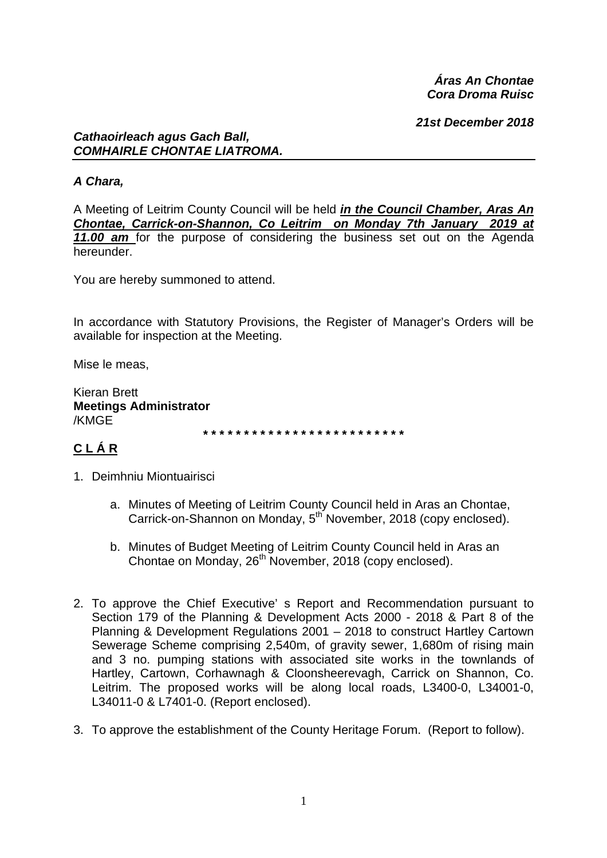Áras An Chontae Cora Droma Ruisc

21st December 2018

#### **Cathaoirleach agus Gach Ball, COMHAIRLE CHONTAE LIATROMA.**

# A Chara,

A Meeting of Leitrim County Council will be held in the Council Chamber, Aras An Chontae, Carrick-on-Shannon, Co Leitrim on Monday 7th January 2019 at 11.00 am for the purpose of considering the business set out on the Agenda hereunder.

You are hereby summoned to attend.

In accordance with Statutory Provisions, the Register of Manager's Orders will be available for inspection at the Meeting.

Mise le meas.

Kieran Brett **Meetings Administrator** /KMGE

# CLÁR

- 1. Deimhniu Miontuairisci
	- a. Minutes of Meeting of Leitrim County Council held in Aras an Chontae, Carrick-on-Shannon on Monday, 5<sup>th</sup> November, 2018 (copy enclosed).
	- b. Minutes of Budget Meeting of Leitrim County Council held in Aras an Chontae on Monday, 26<sup>th</sup> November, 2018 (copy enclosed).
- 2. To approve the Chief Executive's Report and Recommendation pursuant to Section 179 of the Planning & Development Acts 2000 - 2018 & Part 8 of the Planning & Development Regulations 2001 - 2018 to construct Hartley Cartown Sewerage Scheme comprising 2,540m, of gravity sewer, 1,680m of rising main and 3 no. pumping stations with associated site works in the townlands of Hartley, Cartown, Corhawnagh & Cloonsheerevagh, Carrick on Shannon, Co. Leitrim. The proposed works will be along local roads, L3400-0, L34001-0, L34011-0 & L7401-0. (Report enclosed).
- 3. To approve the establishment of the County Heritage Forum. (Report to follow).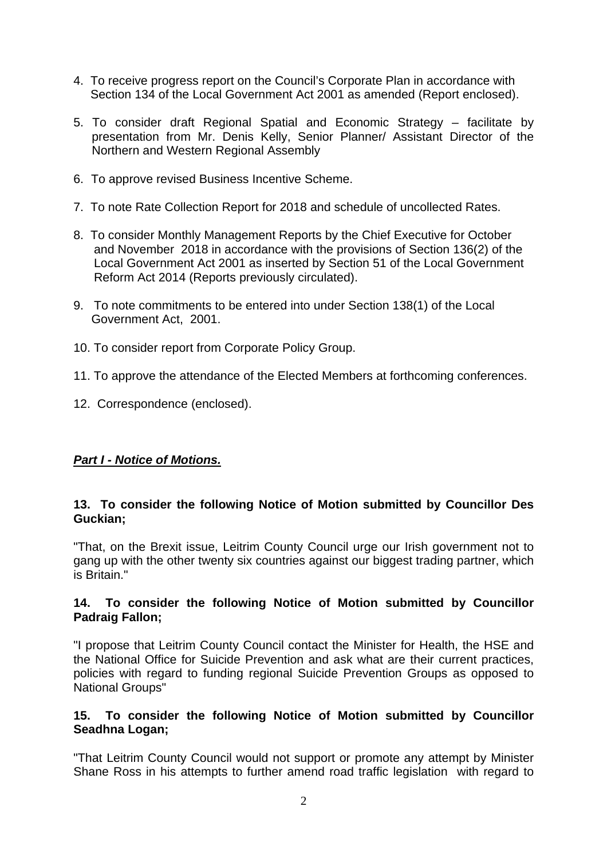- 4. To receive progress report on the Council's Corporate Plan in accordance with Section 134 of the Local Government Act 2001 as amended (Report enclosed).
- 5. To consider draft Regional Spatial and Economic Strategy facilitate by presentation from Mr. Denis Kelly, Senior Planner/ Assistant Director of the Northern and Western Regional Assembly
- 6. To approve revised Business Incentive Scheme.
- 7. To note Rate Collection Report for 2018 and schedule of uncollected Rates.
- 8. To consider Monthly Management Reports by the Chief Executive for October and November 2018 in accordance with the provisions of Section 136(2) of the Local Government Act 2001 as inserted by Section 51 of the Local Government Reform Act 2014 (Reports previously circulated).
- 9. To note commitments to be entered into under Section 138(1) of the Local Government Act, 2001.
- 10. To consider report from Corporate Policy Group.
- 11. To approve the attendance of the Elected Members at forthcoming conferences.
- 12. Correspondence (enclosed).

# *Part I - Notice of Motions.*

#### **13. To consider the following Notice of Motion submitted by Councillor Des Guckian;**

"That, on the Brexit issue, Leitrim County Council urge our Irish government not to gang up with the other twenty six countries against our biggest trading partner, which is Britain."

#### **14. To consider the following Notice of Motion submitted by Councillor Padraig Fallon;**

"I propose that Leitrim County Council contact the Minister for Health, the HSE and the National Office for Suicide Prevention and ask what are their current practices, policies with regard to funding regional Suicide Prevention Groups as opposed to National Groups"

#### **15. To consider the following Notice of Motion submitted by Councillor Seadhna Logan;**

"That Leitrim County Council would not support or promote any attempt by Minister Shane Ross in his attempts to further amend road traffic legislation with regard to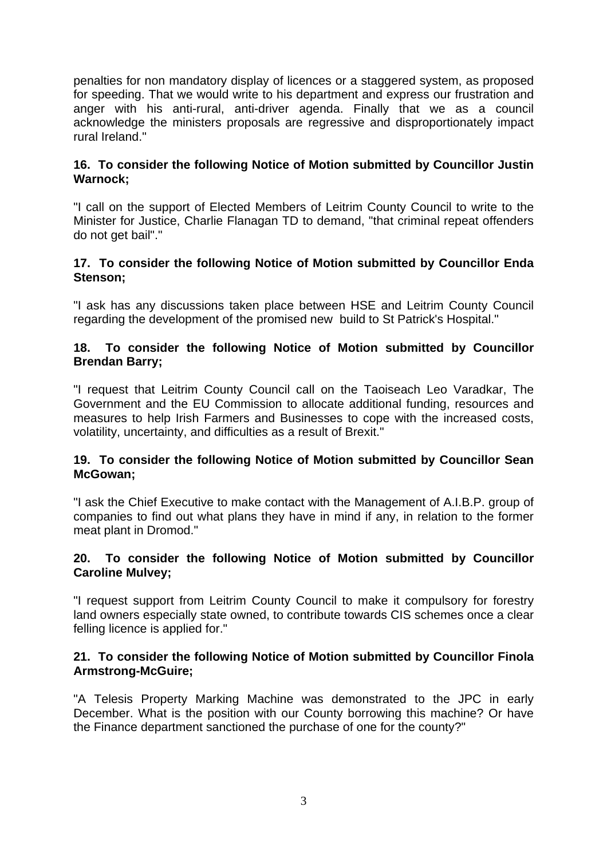penalties for non mandatory display of licences or a staggered system, as proposed for speeding. That we would write to his department and express our frustration and anger with his anti-rural, anti-driver agenda. Finally that we as a council acknowledge the ministers proposals are regressive and disproportionately impact rural Ireland."

## **16. To consider the following Notice of Motion submitted by Councillor Justin Warnock;**

"I call on the support of Elected Members of Leitrim County Council to write to the Minister for Justice, Charlie Flanagan TD to demand, "that criminal repeat offenders do not get bail"."

## **17. To consider the following Notice of Motion submitted by Councillor Enda Stenson;**

"I ask has any discussions taken place between HSE and Leitrim County Council regarding the development of the promised new build to St Patrick's Hospital."

#### **18. To consider the following Notice of Motion submitted by Councillor Brendan Barry;**

"I request that Leitrim County Council call on the Taoiseach Leo Varadkar, The Government and the EU Commission to allocate additional funding, resources and measures to help Irish Farmers and Businesses to cope with the increased costs, volatility, uncertainty, and difficulties as a result of Brexit."

#### **19. To consider the following Notice of Motion submitted by Councillor Sean McGowan;**

"I ask the Chief Executive to make contact with the Management of A.I.B.P. group of companies to find out what plans they have in mind if any, in relation to the former meat plant in Dromod."

#### **20. To consider the following Notice of Motion submitted by Councillor Caroline Mulvey;**

"I request support from Leitrim County Council to make it compulsory for forestry land owners especially state owned, to contribute towards CIS schemes once a clear felling licence is applied for."

#### **21. To consider the following Notice of Motion submitted by Councillor Finola Armstrong-McGuire;**

"A Telesis Property Marking Machine was demonstrated to the JPC in early December. What is the position with our County borrowing this machine? Or have the Finance department sanctioned the purchase of one for the county?"